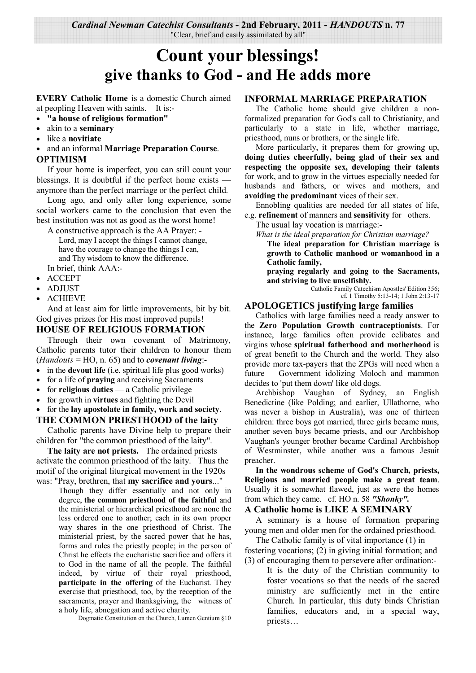*Cardinal Newman Catechist Consultants* **- 2nd February, 2011 -** *HANDOUTS* **n. 77**  "Clear, brief and easily assimilated by all"

# **Count your blessings! give thanks to God - and He adds more**

**EVERY Catholic Home** is a domestic Church aimed at peopling Heaven with saints. It is:-

- **"a house of religious formation"**
- akin to a **seminary**
- like a **novitiate**
- and an informal **Marriage Preparation Course**. **OPTIMISM**

If your home is imperfect, you can still count your blessings. It is doubtful if the perfect home exists anymore than the perfect marriage or the perfect child.

 Long ago, and only after long experience, some social workers came to the conclusion that even the best institution was not as good as the worst home!

 A constructive approach is the AA Prayer: - Lord, may I accept the things I cannot change, have the courage to change the things I can, and Thy wisdom to know the difference. In brief, think AAA:-

- ACCEPT
- ADJUST
- ACHIEVE

 And at least aim for little improvements, bit by bit. God gives prizes for His most improved pupils!

#### **HOUSE OF RELIGIOUS FORMATION**

 Through their own covenant of Matrimony, Catholic parents tutor their children to honour them (*Handouts* = HO, n. 65) and to *covenant living*:-

- in the **devout life** (i.e. spiritual life plus good works)
- for a life of **praying** and receiving Sacraments
- for **religious duties**  a Catholic privilege
- for growth in **virtues** and fighting the Devil

• for the **lay apostolate in family, work and society**.

#### **THE COMMON PRIESTHOOD of the laity**

 Catholic parents have Divine help to prepare their children for "the common priesthood of the laity".

**The laity are not priests.** The ordained priests activate the common priesthood of the laity. Thus the motif of the original liturgical movement in the 1920s

was: "Pray, brethren, that **my sacrifice and yours**..." Though they differ essentially and not only in degree, **the common priesthood of the faithful** and the ministerial or hierarchical priesthood are none the less ordered one to another; each in its own proper way shares in the one priesthood of Christ. The ministerial priest, by the sacred power that he has, forms and rules the priestly people; in the person of Christ he effects the eucharistic sacrifice and offers it to God in the name of all the people. The faithful indeed, by virtue of their royal priesthood, **participate in the offering** of the Eucharist. They exercise that priesthood, too, by the reception of the sacraments, prayer and thanksgiving, the witness of a holy life, abnegation and active charity.

Dogmatic Constitution on the Church, Lumen Gentium §10

#### **INFORMAL MARRIAGE PREPARATION**

The Catholic home should give children a nonformalized preparation for God's call to Christianity, and particularly to a state in life, whether marriage, priesthood, nuns or brothers, or the single life.

 More particularly, it prepares them for growing up, **doing duties cheerfully, being glad of their sex and respecting the opposite sex, developing their talents**  for work, and to grow in the virtues especially needed for husbands and fathers, or wives and mothers, and **avoiding the predominant** vices of their sex.

 Ennobling qualities are needed for all states of life, e.g. **refinement** of manners and **sensitivity** for others.

The usual lay vocation is marriage:-

 *What is the ideal preparation for Christian marriage?* 

**The ideal preparation for Christian marriage is growth to Catholic manhood or womanhood in a Catholic family,** 

**praying regularly and going to the Sacraments, and striving to live unselfishly.** 

Catholic Family Catechism Apostles' Edition 356; cf. 1 Timothy 5:13-14; 1 John 2:13-17

#### **APOLOGETICS justifying large families**

Catholics with large families need a ready answer to the **Zero Population Growth contraceptionists**. For instance, large families often provide celibates and virgins whose **spiritual fatherhood and motherhood** is of great benefit to the Church and the world. They also provide more tax-payers that the ZPGs will need when a future Government idolizing Moloch and mammon decides to 'put them down' like old dogs.

 Archbishop Vaughan of Sydney, an English Benedictine (like Polding; and earlier, Ullathorne, who was never a bishop in Australia), was one of thirteen children: three boys got married, three girls became nuns, another seven boys became priests, and our Archbishop Vaughan's younger brother became Cardinal Archbishop of Westminster, while another was a famous Jesuit preacher.

 **In the wondrous scheme of God's Church, priests, Religious and married people make a great team**. Usually it is somewhat flawed, just as were the homes from which they came. cf. HO n. 58 *"Shonky".*

#### **A Catholic home is LIKE A SEMINARY**

A seminary is a house of formation preparing young men and older men for the ordained priesthood.

 The Catholic family is of vital importance (1) in fostering vocations; (2) in giving initial formation; and (3) of encouraging them to persevere after ordination:-

It is the duty of the Christian community to foster vocations so that the needs of the sacred ministry are sufficiently met in the entire Church. In particular, this duty binds Christian families, educators and, in a special way, priests…